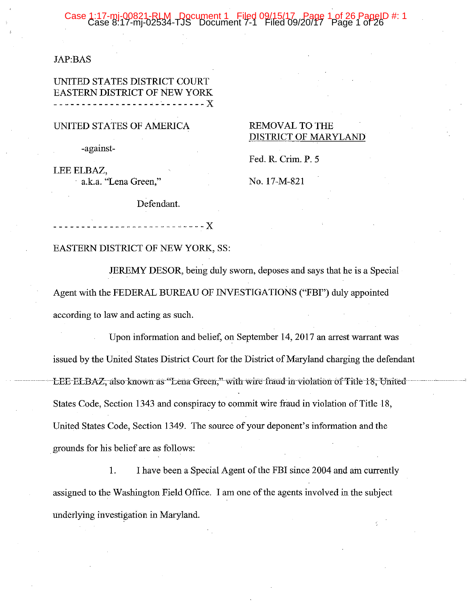#### Case 1

#### **JAP:BAS**

### UNITED STATES DISTRICT COURT **EASTERN DISTRICT OF NEW YORK**

### UNITED STATES OF AMERICA

-against-

LEE ELBAZ, a.k.a. "Lena Green,"

Defendant.

# Fed. R. Crim. P. 5

No. 17-M-821

**REMOVAL TO THE** 

DISTRICT OF MARYLAND

-----------X

#### EASTERN DISTRICT OF NEW YORK, SS:

JEREMY DESOR, being duly sworn, deposes and says that he is a Special Agent with the FEDERAL BUREAU OF INVESTIGATIONS ("FBI") duly appointed according to law and acting as such.

Upon information and belief, on September 14, 2017 an arrest warrant was issued by the United States District Court for the District of Maryland charging the defendant LEE ELBAZ, also known as "Lena Green," with wire fraud in violation of Title 18, United States Code, Section 1343 and conspiracy to commit wire fraud in violation of Title 18, United States Code, Section 1349. The source of your deponent's information and the grounds for his belief are as follows:

1. I have been a Special Agent of the FBI since 2004 and am currently assigned to the Washington Field Office. I am one of the agents involved in the subject underlying investigation in Maryland.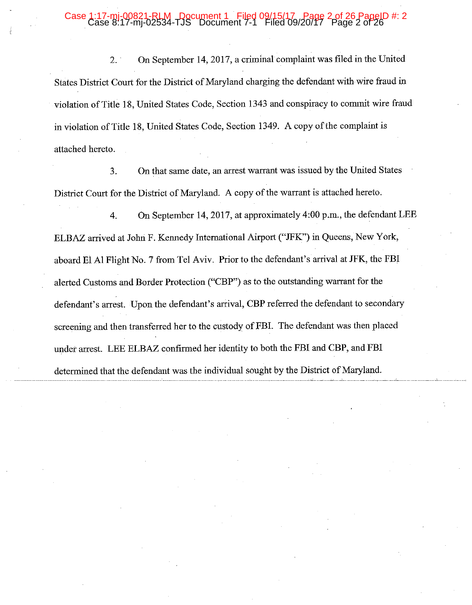### Case 1:17-mj-00821-RLM Document 1 Filed 09/15/17, Page 2 of 26 PageID #: 2

On September 14, 2017, a criminal complaint was filed in the United  $2.$ States District Court for the District of Maryland charging the defendant with wire fraud in violation of Title 18, United States Code, Section 1343 and conspiracy to commit wire fraud in violation of Title 18, United States Code, Section 1349. A copy of the complaint is attached hereto.

On that same date, an arrest warrant was issued by the United States 3. District Court for the District of Maryland. A copy of the warrant is attached hereto.

 $\overline{4}$ . On September 14, 2017, at approximately 4:00 p.m., the defendant LEE ELBAZ arrived at John F. Kennedy International Airport ("JFK") in Queens, New York, aboard El Al Flight No. 7 from Tel Aviv. Prior to the defendant's arrival at JFK, the FBI alerted Customs and Border Protection ("CBP") as to the outstanding warrant for the defendant's arrest. Upon the defendant's arrival, CBP referred the defendant to secondary screening and then transferred her to the custody of FBI. The defendant was then placed under arrest. LEE ELBAZ confirmed her identity to both the FBI and CBP, and FBI determined that the defendant was the individual sought by the District of Maryland.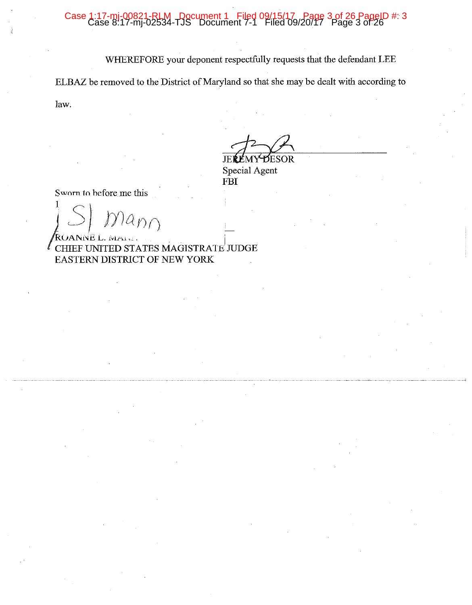#### Case 1:17-m 00821-RLM Document 1 Filed 09/15/17, Page 3 of 26 PageID #: 3<br>7-mj-02534-TJS Document 7-1 Filed 09/20/17 Page 3 of 26

WHEREFORE your deponent respectfully requests that the defendant LEE

ELBAZ be removed to the District of Maryland so that she may be dealt with according to

law.

**DESOR** 

JEREMY Special Agent FBI

Sworn to before me this

 $\hat{D}\hat{D}$ 

NE L. A CHIEF UNITED STATES MAGISTRATE JUDGE EASTERN DISTRICT OF NEW YORK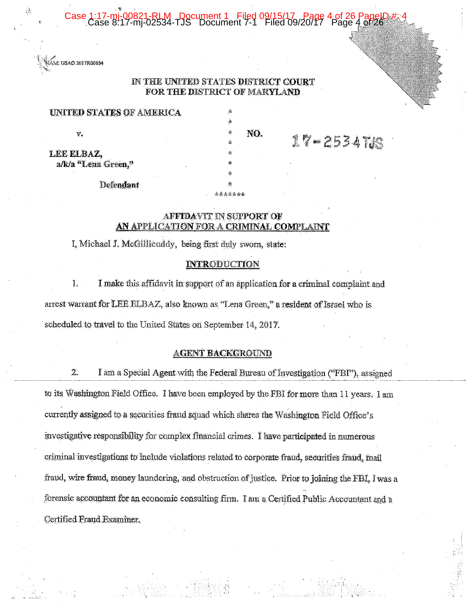0821-RLM - Document 1 Filed 09/15/17 - Page 4 of 26<br>-mi-02534-TJS Document 7-1 Filed 09/20/17 - Page 4



### IN THE UNITED STATES DISTRICT COURT FOR THE DISTRICT OF MARYLAND

ś.

NO.

 $17 - 2534708$ 

**UNITED STATES OF AMERICA** 

Ÿ.

LEE ELBAZ, a/k/a "Lena Green."

Defendant

# **AFFIDAVIT IN SUPPORT OF**

ے بر بر بار بار

### AN APPLICATION FOR A CRIMINAL COMPLAINI

I, Michael J. McGillicuddy, being first duly sworn, state:

#### **INTRODUCTION**

 $1.$ I make this affidavit in support of an application for a criminal complaint and arrest warrant for LEE ELBAZ, also known as "Lena Green," a resident of Israel who is scheduled to travel to the United States on September 14, 2017.

#### **AGENT BACKGROUND**

 $\mathbf{2}$ I am a Special Agent with the Federal Bureau of Investigation ("FBI"), assigned to its Washington Field Office. I have been employed by the FBI for more than 11 years. I am currently assigned to a securities fraud squad which shares the Washington Field Office's investigative responsibility for complex financial crimes. I have participated in numerous criminal investigations to include violations related to corporate fraud, securities fraud, mail fraud, wire fraud, money laundering, and obstruction of justice. Prior to foining the FBI, I was a forensic accountant for an economic consulting firm. I am a Certified Public Accountant and a Certified Fraud Examiner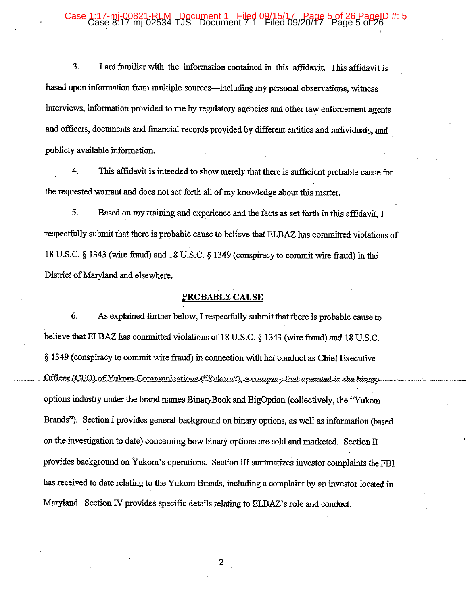#### Case 1 :17-mi-00821-RLM - Document 1 Filed 09/15/17 . Page 5 of 26 Pag<br>ase 8:17-mj-02534-TJS Document 7-1 Filed 09/20/17 Page 5 of .

 $\ddot{3}$ . I am familiar with the information contained in this affidavit. This affidavit is based upon information from multiple sources—including my personal observations, witness interviews, information provided to me by regulatory agencies and other law enforcement agents and officers, documents and financial records provided by different entities and individuals, and publicly available information.

4. This affidavit is intended to show merely that there is sufficient probable cause for the requested warrant and does not set forth all of my knowledge about this matter.

5. Based on my training and experience and the facts as set forth in this affidavit, I respectfully submit that there is probable cause to believe that ELBAZ has committed violations of 18 U.S.C. § 1343 (wire fraud) and 18 U.S.C. § 1349 (conspiracy to commit wire fraud) in the District of Maryland and elsewhere.

#### PROBABLE CAUSE

6. As explained further below, I respectfully submit that there is probable cause to believe that ELBAZ has committed violations of 18 U.S.C. § 1343 (wire fraud) and 18 U.S.C. § 1349 (conspiracy to commit wire fraud) in connection with her conduct as Chief Executive Officer (CEO) of Yukom Communications ("Yukom"), a company that operated in the binary options industry under the brand names BinaryBook and BigOption (collectively, the "Yukom Brands"). Section I provides general background on binary options, as well as information (based) on the investigation to date) concerning how binary options are sold and marketed. Section II provides background on Yukom's operations. Section III summarizes investor complaints the FBI has received to date relating to the Yukom Brands, including a complaint by an investor located in Maryland. Section IV provides specific details relating to ELBAZ's role and conduct.

 $\boldsymbol{2}$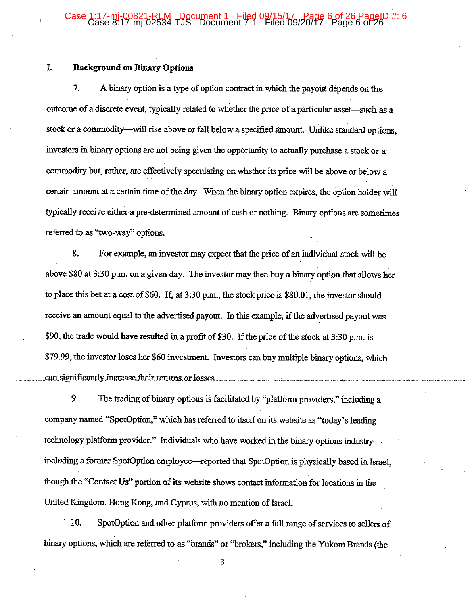## Case 1:17-mj-00821-RLM Document 1 Filed 09/15/17 Page 6 of 26 PageID #: 6<br>Case 8:17-mj-02534-TJS Document 7-1 Filed 09/20/17 Page 6 of 26

#### I. **Background on Binary Options**

7. A binary option is a type of option contract in which the payout depends on the outcome of a discrete event, typically related to whether the price of a particular asset—such as a stock or a commodity—will rise above or fall below a specified amount. Unlike standard options, investors in binary options are not being given the opportunity to actually purchase a stock or a commodity but, rather, are effectively speculating on whether its price will be above or below a certain amount at a certain time of the day. When the binary option expires, the option holder will typically receive either a pre-determined amount of cash or nothing. Binary options are sometimes referred to as "two-way" options.

8. For example, an investor may expect that the price of an individual stock will be above \$80 at 3:30 p.m. on a given day. The investor may then buy a binary option that allows her to place this bet at a cost of \$60. If, at 3:30 p.m., the stock price is \$80.01, the investor should receive an amount equal to the advertised payout. In this example, if the advertised payout was \$90, the trade would have resulted in a profit of \$30. If the price of the stock at 3:30 p.m. is \$79.99, the investor loses her \$60 investment. Investors can buy multiple binary options, which can significantly increase their returns or losses.

9. The trading of binary options is facilitated by "platform providers," including a company named "SpotOption," which has referred to itself on its website as "today's leading technology platform provider." Individuals who have worked in the binary options industryincluding a former SpotOption employee—reported that SpotOption is physically based in Israel. though the "Contact Us" portion of its website shows contact information for locations in the United Kingdom, Hong Kong, and Cyprus, with no mention of Israel.

10. SpotOption and other platform providers offer a full range of services to sellers of binary options, which are referred to as "brands" or "brokers," including the Yukom Brands (the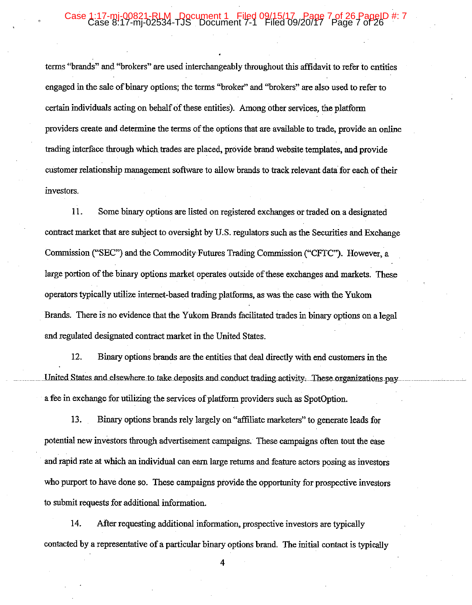## Case 1:17-mi-00821-RLM Document 1 Filed 09/15/17 Page 7 of 26 Pa

terms "brands" and "brokers" are used interchangeably throughout this affidavit to refer to entities engaged in the sale of binary options; the terms "broker" and "brokers" are also used to refer to certain individuals acting on behalf of these entities). Among other services, the platform providers create and determine the terms of the options that are available to trade, provide an online trading interface through which trades are placed, provide brand website templates, and provide customer relationship management software to allow brands to track relevant data for each of their investors.

11. Some binary options are listed on registered exchanges or traded on a designated contract market that are subject to oversight by U.S. regulators such as the Securities and Exchange Commission ("SEC") and the Commodity Futures Trading Commission ("CFTC"). However, a large portion of the binary options market operates outside of these exchanges and markets. These operators typically utilize internet-based trading platforms, as was the case with the Yukom Brands. There is no evidence that the Yukom Brands facilitated trades in binary options on a legal and regulated designated contract market in the United States.

12. Binary options brands are the entities that deal directly with end customers in the United States and elsewhere to take deposits and conduct trading activity. These organizations pay a fee in exchange for utilizing the services of platform providers such as SpotOption.

Binary options brands rely largely on "affiliate marketers" to generate leads for 13. potential new investors through advertisement campaigns. These campaigns often tout the ease and rapid rate at which an individual can earn large returns and feature actors posing as investors who purport to have done so. These campaigns provide the opportunity for prospective investors to submit requests for additional information.

14. After requesting additional information, prospective investors are typically contacted by a representative of a particular binary options brand. The initial contact is typically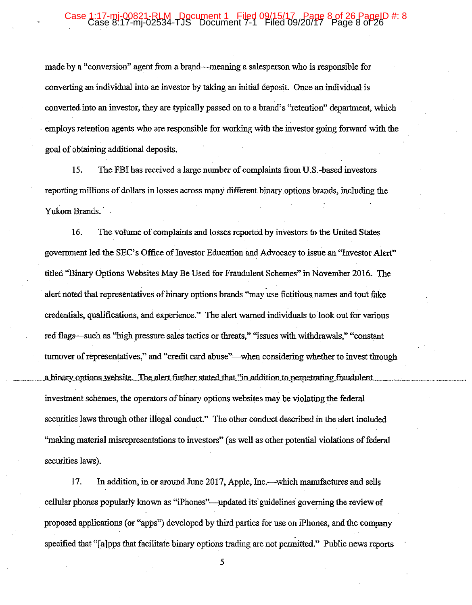### Case 1:17-mj-00821-RLM - Document 1 Filed 09/15/17 Page 8 of 26 PageID #: 8

made by a "conversion" agent from a brand—meaning a salesperson who is responsible for converting an individual into an investor by taking an initial deposit. Once an individual is converted into an investor, they are typically passed on to a brand's "retention" department, which employs retention agents who are responsible for working with the investor going forward with the goal of obtaining additional deposits.

15. The FBI has received a large number of complaints from U.S.-based investors reporting millions of dollars in losses across many different binary options brands, including the Yukom Brands.

16. The volume of complaints and losses reported by investors to the United States government led the SEC's Office of Investor Education and Advocacy to issue an "Investor Alert" titled "Binary Options Websites May Be Used for Fraudulent Schemes" in November 2016. The alert noted that representatives of binary options brands "may use fictitious names and tout fake credentials, qualifications, and experience." The alert warned individuals to look out for various red flags—such as "high pressure sales tactics or threats," "issues with withdrawals," "constant" turnover of representatives," and "credit card abuse"—when considering whether to invest through a binary options website. The alert further stated that "in addition to perpetrating fraudulent investment schemes, the operators of binary options websites may be violating the federal securities laws through other illegal conduct." The other conduct described in the alert included "making material misrepresentations to investors" (as well as other potential violations of federal securities laws).

In addition, in or around June 2017, Apple, Inc.—which manufactures and sells 17. cellular phones popularly known as "iPhones"—updated its guidelines governing the review of proposed applications (or "apps") developed by third parties for use on iPhones, and the company specified that "[a]pps that facilitate binary options trading are not permitted." Public news reports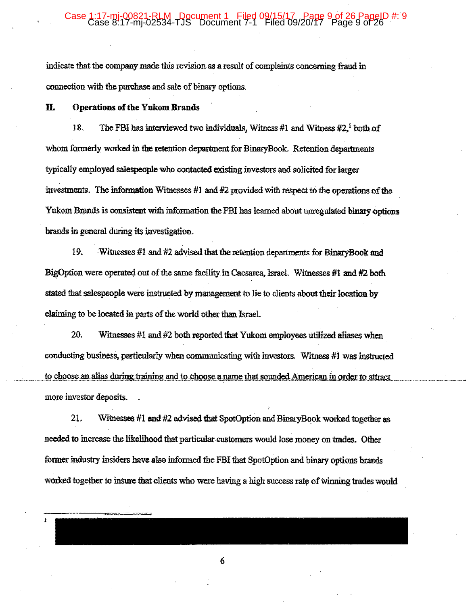### 1:17-mi-00821-RLM Document 1 Filed 09/15/17 Page 9 of 26 Pag<br>Case 8:17-mj-02534-TJS Document 7-1 Filed 09/20/17 Page 9 of

indicate that the company made this revision as a result of complaints concerning fraud in connection with the purchase and sale of binary options.

Ħ. **Operations of the Yukom Brands** 

18. The FBI has interviewed two individuals, Witness #1 and Witness  $#2<sup>1</sup>$  both of whom formerly worked in the retention department for BinaryBook. Retention departments typically employed salespeople who contacted existing investors and solicited for larger investments. The information Witnesses #1 and #2 provided with respect to the operations of the Yukom Brands is consistent with information the FBI has learned about unregulated binary options brands in general during its investigation.

19. Witnesses #1 and #2 advised that the retention departments for BinaryBook and BigOption were operated out of the same facility in Caesarea, Israel. Witnesses #1 and #2 both stated that salespeople were instructed by management to lie to clients about their location by claiming to be located in parts of the world other than Israel.

20. Witnesses #1 and #2 both reported that Yukom employees utilized allases when conducting business, particularly when communicating with investors. Witness #1 was instructed to choose an alias during training and to choose a name that sounded American in order to attract more investor deposits.

21. Witnesses #1 and #2 advised that SpotOption and BinaryBook worked together as needed to increase the likelihood that particular customers would lose money on trades. Other former industry insiders have also informed the FBI that SpotOption and binary options brands worked together to insure that clients who were having a high success rate of winning trades would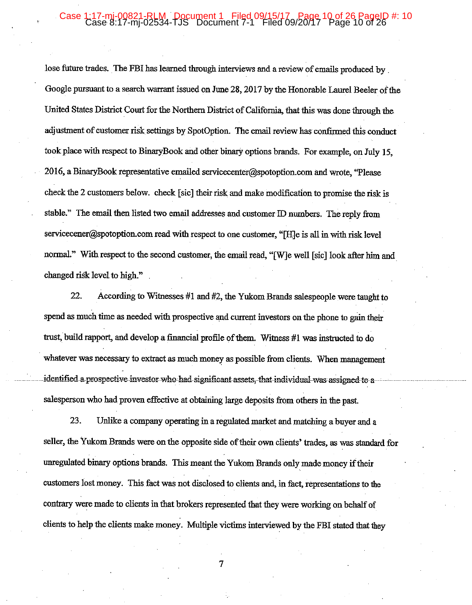### 1:17-mj-00821-RLM Document 1 Filed 09/15/17 Page 10 of 26 PageID #: 10<br>Case 8:17-mj-02534-TJS Document 7-1 Filed 09/20/17 Page 10 of 26

lose future trades. The FBI has learned through interviews and a review of emails produced by Google pursuant to a search warrant issued on June 28, 2017 by the Honorable Laurel Beeler of the United States District Court for the Northern District of California, that this was done through the adjustment of customer risk settings by SpotOption. The email review has confirmed this conduct took place with respect to BinaryBook and other binary options brands. For example, on July 15, 2016, a BinaryBook representative emailed servicecenter@spotoption.com and wrote, "Please" check the 2 customers below. check [sic] their risk and make modification to promise the risk is stable." The email then listed two email addresses and customer ID numbers. The reply from servicecener@spotoption.com read with respect to one customer, "[H]e is all in with risk level normal." With respect to the second customer, the email read, "[W]e well [sic] look after him and changed risk level to high."

According to Witnesses #1 and #2, the Yukom Brands salespeople were taught to 22. spend as much time as needed with prospective and current investors on the phone to gain their trust, build rapport, and develop a financial profile of them. Witness #1 was instructed to do whatever was necessary to extract as much money as possible from clients. When management identified a prospective investor who had significant assets, that individual was assigned to a salesperson who had proven effective at obtaining large deposits from others in the past.

23. Unlike a company operating in a regulated market and matching a buyer and a seller, the Yukom Brands were on the opposite side of their own clients' trades, as was standard for unregulated binary options brands. This meant the Yukom Brands only made money if their customers lost money. This fact was not disclosed to clients and, in fact, representations to the contrary were made to clients in that brokers represented that they were working on behalf of clients to help the clients make money. Multiple victims interviewed by the FBI stated that they

 $\tau$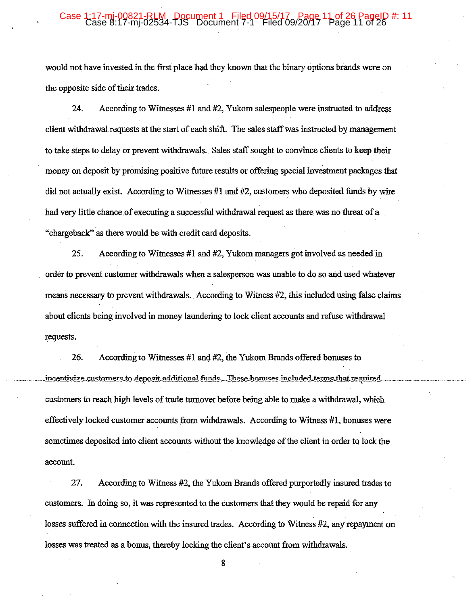### 17-mi-00821-RLM, Document 1 Filed 09/15/17<sub>9/</sub>Page 11 of 26 PageID #: 11<br>ase 8:17-mj-02534-TJS Document 7-1 Filed 09/20/17 Page 11 of 26

would not have invested in the first place had they known that the binary options brands were on the opposite side of their trades.

According to Witnesses #1 and #2, Yukom salespeople were instructed to address 24. client withdrawal requests at the start of each shift. The sales staff was instructed by management to take steps to delay or prevent withdrawals. Sales staff sought to convince clients to keep their money on deposit by promising positive future results or offering special investment packages that did not actually exist. According to Witnesses #1 and #2, customers who deposited funds by wire had very little chance of executing a successful withdrawal request as there was no threat of a "chargeback" as there would be with credit card deposits.

25. According to Witnesses #1 and #2, Yukom managers got involved as needed in order to prevent customer withdrawals when a salesperson was unable to do so and used whatever means necessary to prevent withdrawals. According to Witness #2, this included using false claims about clients being involved in money laundering to lock client accounts and refuse withdrawal requests.

26. According to Witnesses  $#1$  and  $#2$ , the Yukom Brands offered bonuses to incentivize customers to deposit additional funds. These bonuses included terms that required customers to reach high levels of trade turnover before being able to make a withdrawal, which effectively locked customer accounts from withdrawals. According to Witness #1, bonuses were sometimes deposited into client accounts without the knowledge of the client in order to lock the account.

27. According to Witness #2, the Yukom Brands offered purportedly insured trades to customers. In doing so, it was represented to the customers that they would be repaid for any losses suffered in connection with the insured trades. According to Witness #2, any repayment on losses was treated as a bonus, thereby locking the client's account from withdrawals.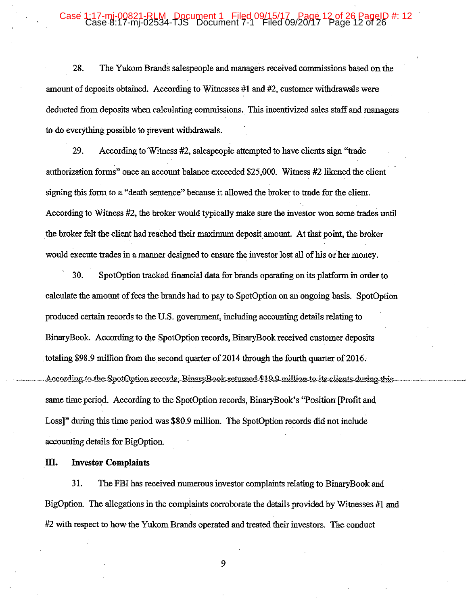### 17-mi-00821-RLM, Document 1 Filed 09/15/17 Page 12 of 26 PageID #: 12<br>ase 8:17-mi-02534-TJS Document 7-1 Filed 09/20/17 Page 12 of 26

28. The Yukom Brands salespeople and managers received commissions based on the amount of deposits obtained. According to Witnesses #1 and #2, customer withdrawals were deducted from deposits when calculating commissions. This incentivized sales staff and managers to do everything possible to prevent withdrawals.

29. According to Witness #2, salespeople attempted to have clients sign "trade" authorization forms" once an account balance exceeded \$25,000. Witness #2 likened the client signing this form to a "death sentence" because it allowed the broker to trade for the client. According to Witness #2, the broker would typically make sure the investor won some trades until the broker felt the client had reached their maximum deposit amount. At that point, the broker would execute trades in a manner designed to ensure the investor lost all of his or her money.

30. SpotOption tracked financial data for brands operating on its platform in order to calculate the amount of fees the brands had to pay to SpotOption on an ongoing basis. SpotOption produced certain records to the U.S. government, including accounting details relating to BinaryBook. According to the SpotOption records, BinaryBook received customer deposits totaling \$98.9 million from the second quarter of 2014 through the fourth quarter of 2016. According to the SpotOption records, BinaryBook returned \$19.9 million to its clients during this same time period. According to the SpotOption records, BinaryBook's "Position [Profit and Loss]" during this time period was \$80.9 million. The SpotOption records did not include accounting details for BigOption.

#### Ш. **Investor Complaints**

31. The FBI has received numerous investor complaints relating to BinaryBook and BigOption. The allegations in the complaints corroborate the details provided by Witnesses #1 and #2 with respect to how the Yukom Brands operated and treated their investors. The conduct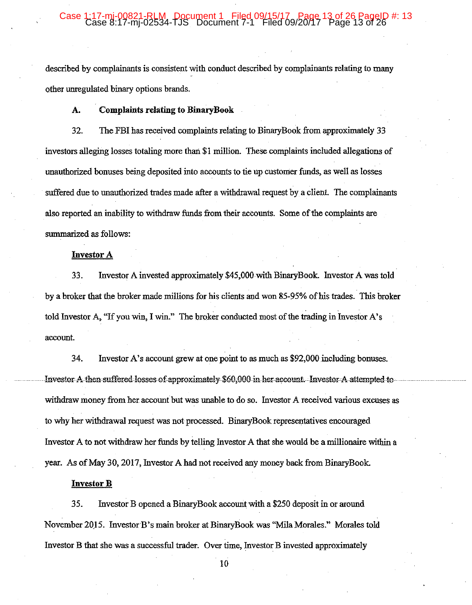#### 1:17-mj-00821-RLM Document 1 Filed 09/15/17 Page 13 of 26 PageID #: 13<br>Case 8:17-mj-02534-TJS Document 7-1 Filed 09/20/17 Page 13 of 26 Case

described by complainants is consistent with conduct described by complainants relating to many other unregulated binary options brands.

#### **Complaints relating to BinaryBook** A.

The FBI has received complaints relating to BinaryBook from approximately 33 32. investors alleging losses totaling more than \$1 million. These complaints included allegations of unauthorized bonuses being deposited into accounts to tie up customer funds, as well as losses suffered due to unauthorized trades made after a withdrawal request by a client. The complainants also reported an inability to withdraw funds from their accounts. Some of the complaints are summarized as follows:

#### **Investor A**

33. Investor A invested approximately \$45,000 with BinaryBook. Investor A was told by a broker that the broker made millions for his clients and won 85-95% of his trades. This broker told Investor A, "If you win, I win." The broker conducted most of the trading in Investor A's account.

34. Investor A's account grew at one point to as much as \$92,000 including bonuses. Investor A then suffered losses of approximately \$60,000 in her account. Investor A attempted to withdraw money from her account but was unable to do so. Investor A received various excuses as to why her withdrawal request was not processed. BinaryBook representatives encouraged Investor A to not withdraw her funds by telling Investor A that she would be a millionaire within a year. As of May 30, 2017, Investor A had not received any money back from BinaryBook.

#### **Investor B**

35. Investor B opened a BinaryBook account with a \$250 deposit in or around November 2015. Investor B's main broker at BinaryBook was "Mila Morales." Morales told Investor B that she was a successful trader. Over time, Investor B invested approximately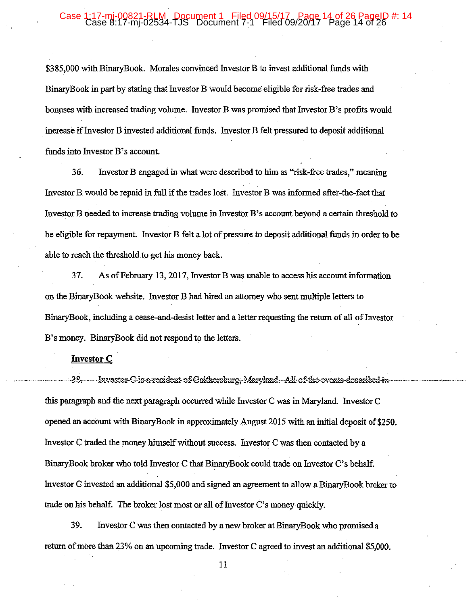#### 1:17-mj-00821-RLM Document 1 Filed 09/15/17 Page 14 of 26 PageID #: 14<br>Case 8:17-mj-02534-TJS Document 7-1 Filed 09/20/17 Page 14 of 26 Case

\$385,000 with BinaryBook. Morales convinced Investor B to invest additional funds with BinaryBook in part by stating that Investor B would become eligible for risk-free trades and bonuses with increased trading volume. Investor B was promised that Investor B's profits would increase if Investor B invested additional funds. Investor B felt pressured to deposit additional funds into Investor B's account.

Investor B engaged in what were described to him as "risk-free trades," meaning 36. Investor B would be repaid in full if the trades lost. Investor B was informed after-the-fact that Investor B needed to increase trading volume in Investor B's account beyond a certain threshold to be eligible for repayment. Investor B felt a lot of pressure to deposit additional funds in order to be able to reach the threshold to get his money back.

37. As of February 13, 2017, Investor B was unable to access his account information on the BinaryBook website. Investor B had hired an attorney who sent multiple letters to BinaryBook, including a cease-and-desist letter and a letter requesting the return of all of Investor B's money. BinaryBook did not respond to the letters.

#### **Investor C**

38. Investor C is a resident of Gaithersburg, Maryland. All of the events described in this paragraph and the next paragraph occurred while Investor C was in Maryland. Investor C opened an account with BinaryBook in approximately August 2015 with an initial deposit of \$250. Investor C traded the money himself without success. Investor C was then contacted by a BinaryBook broker who told Investor C that BinaryBook could trade on Investor C's behalf. Investor C invested an additional \$5,000 and signed an agreement to allow a BinaryBook broker to trade on his behalf. The broker lost most or all of Investor C's money quickly.

39. Investor C was then contacted by a new broker at BinaryBook who promised a return of more than 23% on an upcoming trade. Investor C agreed to invest an additional \$5,000.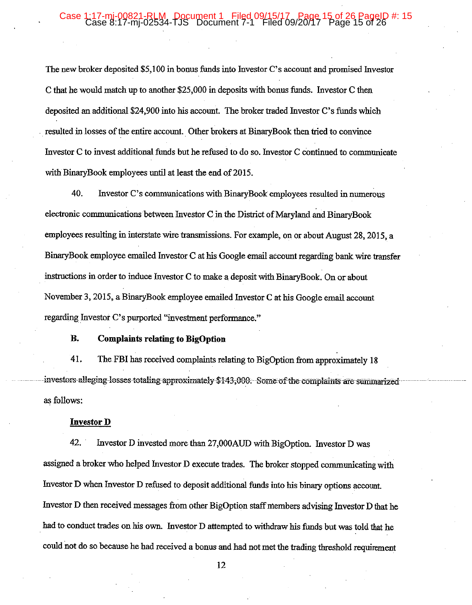#### 17-mi-00821-RLM, Document 1 Filed 09/15/17 Page 15 of 26 PageID #: 15<br>ase 8:17-mi-02534-TJS Document 7-1 Filed 09/20/17 Page 15 of 26 Case 1:

The new broker deposited \$5,100 in bonus funds into Investor C's account and promised Investor C that he would match up to another \$25,000 in deposits with bonus funds. Investor C then deposited an additional \$24,900 into his account. The broker traded Investor C's funds which resulted in losses of the entire account. Other brokers at BinaryBook then tried to convince Investor C to invest additional funds but he refused to do so. Investor C continued to communicate with BinaryBook employees until at least the end of 2015.

40. Investor C's communications with BinaryBook employees resulted in numerous electronic communications between Investor C in the District of Maryland and BinaryBook employees resulting in interstate wire transmissions. For example, on or about August 28, 2015, a BinaryBook employee emailed Investor C at his Google email account regarding bank wire transfer instructions in order to induce Investor C to make a deposit with BinaryBook. On or about November 3, 2015, a BinaryBook employee emailed Investor C at his Google email account regarding Investor C's purported "investment performance."

#### **B. Complaints relating to BigOption**

41. The FBI has received complaints relating to BigOption from approximately 18 investors alleging losses totaling approximately \$143,000. Some of the complaints are summarized as follows:

#### **Investor D**

42. Investor D invested more than 27,000AUD with BigOption. Investor D was assigned a broker who helped Investor D execute trades. The broker stopped communicating with Investor D when Investor D refused to deposit additional funds into his binary options account. Investor D then received messages from other BigOption staff members advising Investor D that he had to conduct trades on his own. Investor D attempted to withdraw his funds but was told that he could not do so because he had received a bonus and had not met the trading threshold requirement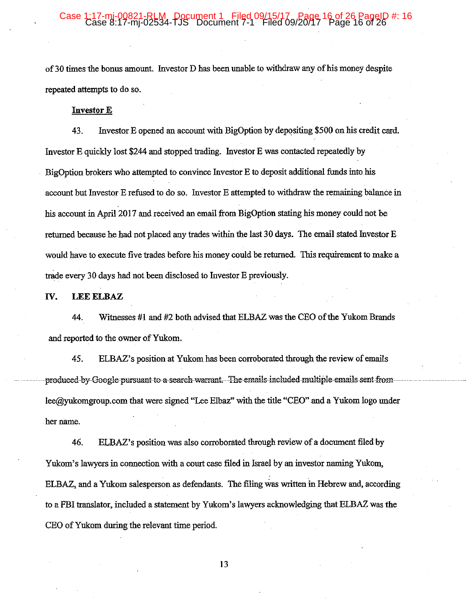## 17-mi-00821-RLM, Document 1 Filed 09/15/17, Page 16 of 26 PageID #: 16<br>ase 8:17-mi-02534-TJS Document 7-1 Filed 09/20/17 Page 16 of 26

of 30 times the bonus amount. Investor D has been unable to withdraw any of his money despite repeated attempts to do so.

#### **Investor E**

Investor E opened an account with BigOption by depositing \$500 on his credit card. 43. Investor E quickly lost \$244 and stopped trading. Investor E was contacted repeatedly by BigOption brokers who attempted to convince Investor E to deposit additional funds into his account but Investor E refused to do so. Investor E attempted to withdraw the remaining balance in his account in April 2017 and received an email from BigOption stating his money could not be returned because he had not placed any trades within the last 30 days. The email stated Investor E would have to execute five trades before his money could be returned. This requirement to make a trade every 30 days had not been disclosed to Investor E previously.

IV. **LEE ELBAZ** 

Witnesses #1 and #2 both advised that ELBAZ was the CEO of the Yukom Brands 44. and reported to the owner of Yukom.

ELBAZ's position at Yukom has been corroborated through the review of emails 45. produced by Google pursuant to a search warrant. The emails included multiple emails sent from lee@yukomgroup.com that were signed "Lee Elbaz" with the title "CEO" and a Yukom logo under her name.

46. ELBAZ's position was also corroborated through review of a document filed by Yukom's lawyers in connection with a court case filed in Israel by an investor naming Yukom, ELBAZ, and a Yukom salesperson as defendants. The filing was written in Hebrew and, according to a FBI translator, included a statement by Yukom's lawyers acknowledging that ELBAZ was the CEO of Yukom during the relevant time period.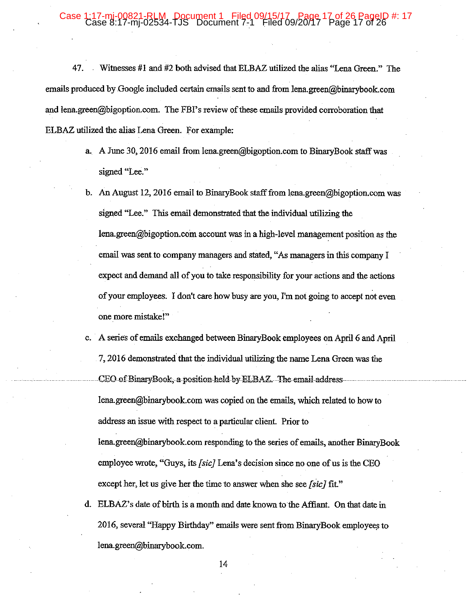### 17-mi-00821-RLM, Document 1 Filed 09/15/17<sub>9/</sub>Page 17 of 26 PageID #: 17<br>ase 8:17-mj-02534-TJS Document 7-1 Filed 09/20/17 Page 17 of 26

47. Witnesses #1 and #2 both advised that ELBAZ utilized the alias "Lena Green." The emails produced by Google included certain emails sent to and from lena.green@binarybook.com and lena.green@bigoption.com. The FBI's review of these emails provided corroboration that ELBAZ utilized the alias Lena Green. For example:

- a. A June 30, 2016 email from lena.green@bigoption.com to BinaryBook staff was signed "Lee."
- b. An August 12, 2016 email to BinaryBook staff from lena.green@bigoption.com was signed "Lee." This email demonstrated that the individual utilizing the lena.green@bigoption.com account was in a high-level management position as the email was sent to company managers and stated, "As managers in this company I expect and demand all of you to take responsibility for your actions and the actions of your employees. I don't care how busy are you, I'm not going to accept not even one more mistake!"
- c. A series of emails exchanged between BinaryBook employees on April 6 and April 7, 2016 demonstrated that the individual utilizing the name Lena Green was the CEO of BinaryBook, a position held by ELBAZ. The email address lena.green@binarybook.com was copied on the emails, which related to how to address an issue with respect to a particular client. Prior to lena.green@binarybook.com responding to the series of emails, another BinaryBook employee wrote, "Guys, its [sic] Lena's decision since no one of us is the CEO except her, let us give her the time to answer when she see [sic] fit."
- d. ELBAZ's date of birth is a month and date known to the Affiant. On that date in 2016, several "Happy Birthday" emails were sent from BinaryBook employees to lena.green@binarybook.com.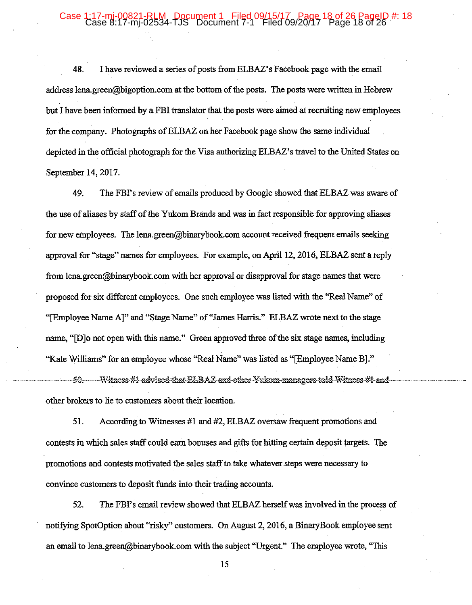#### 17-mi-00821-RLM, Pocument 1, Filed 09/15/17, Page 18 of 26 PageID #: 18<br>ase 8:17-mj-02534-TJS Document 7-1 Filed 09/20/17 Page 18 of 26 Case

48. I have reviewed a series of posts from ELBAZ's Facebook page with the email address lena.green@bigoption.com at the bottom of the posts. The posts were written in Hebrew but I have been informed by a FBI translator that the posts were aimed at recruiting new employees for the company. Photographs of ELBAZ on her Facebook page show the same individual depicted in the official photograph for the Visa authorizing ELBAZ's travel to the United States on September 14, 2017.

49. The FBI's review of emails produced by Google showed that ELBAZ was aware of the use of aliases by staff of the Yukom Brands and was in fact responsible for approving aliases for new employees. The lena.green@binarybook.com account received frequent emails seeking approval for "stage" names for employees. For example, on April 12, 2016, ELBAZ sent a reply from lena.green@binarybook.com with her approval or disapproval for stage names that were proposed for six different employees. One such employee was listed with the "Real Name" of "[Employee Name A]" and "Stage Name" of "James Harris." ELBAZ wrote next to the stage name, "[D]o not open with this name." Green approved three of the six stage names, including "Kate Williams" for an employee whose "Real Name" was listed as "[Employee Name B]."

Witness #1 advised that ELBAZ and other Yukom managers told Witness #1 and -50other brokers to lie to customers about their location.

51. According to Witnesses #1 and #2, ELBAZ oversaw frequent promotions and contests in which sales staff could earn bonuses and gifts for hitting certain deposit targets. The promotions and contests motivated the sales staff to take whatever steps were necessary to convince customers to deposit funds into their trading accounts.

52. The FBI's email review showed that ELBAZ herself was involved in the process of notifying SpotOption about "risky" customers. On August 2, 2016, a BinaryBook employee sent an email to lena.green@binarybook.com with the subject "Urgent." The employee wrote, "This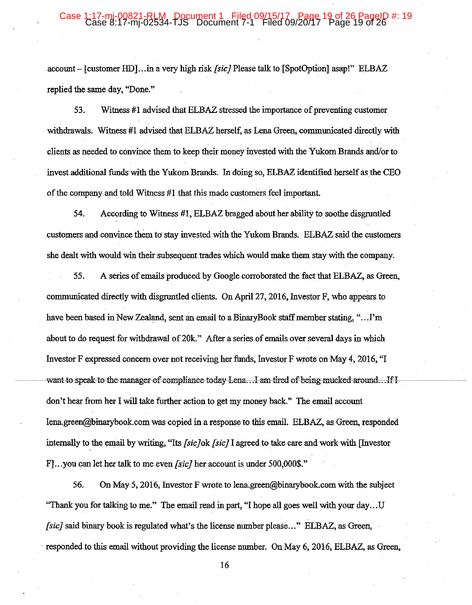#### 1:17-mj-00821-RLM Document 1 Filed 09/15/17 Page 19 of 26 PageID #: 19<br>Case 8:17-mj-02534-TJS Document 7-1 Filed 09/20/17 Page 19 of 26 Case

account – [customer HD]...in a very high risk *[sic]* Please talk to [SpotOption] asap!" ELBAZ replied the same day, "Done."

Witness #1 advised that ELBAZ stressed the importance of preventing customer 53. withdrawals. Witness #1 advised that ELBAZ herself, as Lena Green, communicated directly with clients as needed to convince them to keep their money invested with the Yukom Brands and/or to invest additional funds with the Yukom Brands. In doing so, ELBAZ identified herself as the CEO of the company and told Witness #1 that this made customers feel important.

54. According to Witness #1, ELBAZ bragged about her ability to soothe disgruntled customers and convince them to stay invested with the Yukom Brands. ELBAZ said the customers she dealt with would win their subsequent trades which would make them stay with the company.

55. A series of emails produced by Google corroborated the fact that ELBAZ, as Green, communicated directly with disgruntled clients. On April 27, 2016, Investor F, who appears to have been based in New Zealand, sent an email to a BinaryBook staff member stating, "...I'm about to do request for withdrawal of 20k." After a series of emails over several days in which Investor F expressed concern over not receiving her funds, Investor F wrote on May 4, 2016, "I want to speak to the manager of compliance today Lena...I am tired of being mucked around...If I don't hear from her I will take further action to get my money back." The email account lena.green@binarybook.com was copied in a response to this email. ELBAZ, as Green, responded internally to the email by writing, "Its [sic]ok [sic] I agreed to take care and work with [Investor F. vou can let her talk to me even *[sic]* her account is under 500,000\$."

On May 5, 2016, Investor F wrote to lena.green@binarybook.com with the subject 56. "Thank you for talking to me." The email read in part, "I hope all goes well with your day...U *[sic]* said binary book is regulated what's the license number please..." ELBAZ, as Green, responded to this email without providing the license number. On May 6, 2016, ELBAZ, as Green,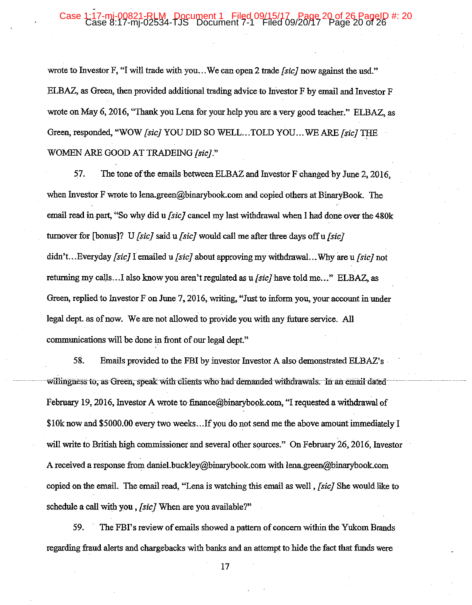## Case 1:17-mj-00821-RLM, Document 1 Filed 09/15/17, Page 20 of 26 PageID #: 20<br>Case 8:17-mj-02534-TJS Document 7-1 Filed 09/20/17 Page 20 of 26

wrote to Investor F, "I will trade with you...We can open 2 trade [sic] now against the usd." ELBAZ, as Green, then provided additional trading advice to Investor F by email and Investor F wrote on May 6, 2016, "Thank you Lena for your help you are a very good teacher." ELBAZ, as Green, responded, "WOW [sic] YOU DID SO WELL...TOLD YOU...WE ARE [sic] THE WOMEN ARE GOOD AT TRADEING [sic]."

The tone of the emails between ELBAZ and Investor F changed by June 2, 2016, 57. when Investor F wrote to lena.green@binarybook.com and copied others at BinaryBook. The email read in part, "So why did u /sic/ cancel my last withdrawal when I had done over the 480k turnover for [bonus]? U *[sic]* said  $\mu$  *[sic]* would call me after three days off  $\mu$  *[sic]* didn't...Everyday [sic] I emailed u [sic] about approving my withdrawal...Why are u [sic] not returning my calls...I also know you aren't regulated as u *[sic]* have told me..." ELBAZ, as Green, replied to Investor F on June 7, 2016, writing, "Just to inform you, your account in under legal dept. as of now. We are not allowed to provide you with any future service. All communications will be done in front of our legal dept."

58. Emails provided to the FBI by investor Investor A also demonstrated ELBAZ's willingness to, as Green, speak with clients who had demanded withdrawals. In an email dated February 19, 2016, Investor A wrote to finance@binarybook.com, "I requested a withdrawal of \$10k now and \$5000.00 every two weeks...If you do not send me the above amount immediately I will write to British high commissioner and several other sources." On February 26, 2016, Investor A received a response from daniel.buckley@binarybook.com with lena.green@binarybook.com copied on the email. The email read, "Lena is watching this email as well, *[sic]* She would like to schedule a call with you, *[sic]* When are you available?"

59. The FBI's review of emails showed a pattern of concern within the Yukom Brands regarding fraud alerts and chargebacks with banks and an attempt to hide the fact that funds were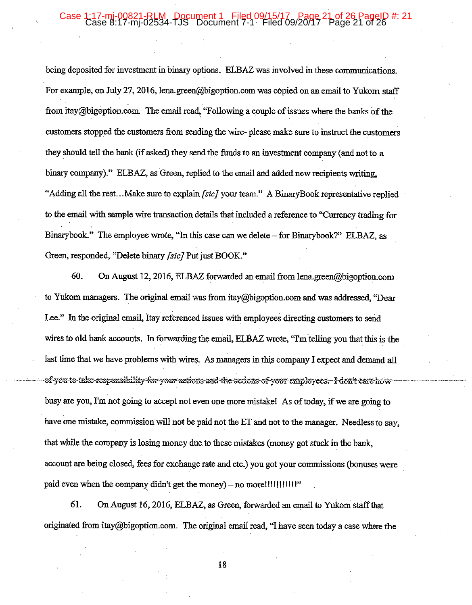#### :17-mi-00821-RLM Document 1 Filed 09/15/17 Page 21 of 26 PageID #: 21<br>Case 8:17-mi-02534-TJS Document 7-1 Filed 09/20/17 Page 21 of 26 Case 1

being deposited for investment in binary options. ELBAZ was involved in these communications. For example, on July 27, 2016, lena.green@bigoption.com was copied on an email to Yukom staff from itay@bigoption.com. The email read, "Following a couple of issues where the banks of the customers stopped the customers from sending the wire-please make sure to instruct the customers they should tell the bank (if asked) they send the funds to an investment company (and not to a binary company)." ELBAZ, as Green, replied to the email and added new recipients writing, "Adding all the rest...Make sure to explain *[sic]* your team." A BinaryBook representative replied to the email with sample wire transaction details that included a reference to "Currency trading for Binarybook." The employee wrote, "In this case can we delete – for Binarybook?" ELBAZ, as Green, responded, "Delete binary [sic] Put just BOOK."

60. On August 12, 2016, ELBAZ forwarded an email from lena.green@bigoption.com to Yukom managers. The original email was from itay@bigoption.com and was addressed, "Dear Lee." In the original email, Itay referenced issues with employees directing customers to send wires to old bank accounts. In forwarding the email, ELBAZ wrote, "I'm telling you that this is the last time that we have problems with wires. As managers in this company I expect and demand all of you to take responsibility for your actions and the actions of your employees. I don't care how busy are you, I'm not going to accept not even one more mistake! As of today, if we are going to have one mistake, commission will not be paid not the ET and not to the manager. Needless to say, that while the company is losing money due to these mistakes (money got stuck in the bank, account are being closed, fees for exchange rate and etc.) you got your commissions (bonuses were paid even when the company didn't get the money) – no more!!!!!!!!!!!!!

61. On August 16, 2016, ELBAZ, as Green, forwarded an email to Yukom staff that originated from itay@bigoption.com. The original email read, "I have seen today a case where the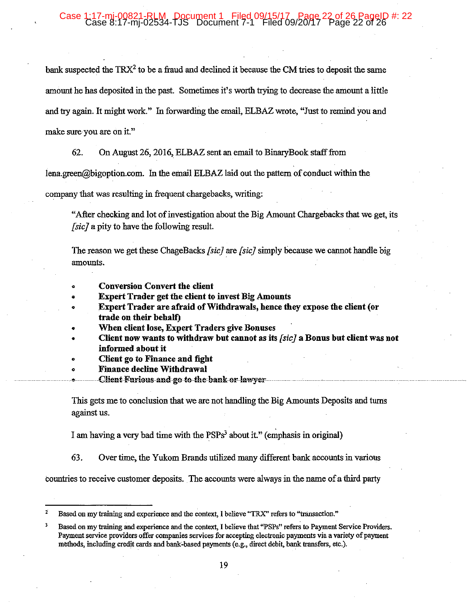## 0821-RLM, Pocument 1 Filed 09/15/17<br>7-mj-02534-TJS Document 7-1 Filed 09/20/17 Page 22 of 26

bank suspected the TRX<sup>2</sup> to be a fraud and declined it because the CM tries to deposit the same amount he has deposited in the past. Sometimes it's worth trying to decrease the amount a little and try again. It might work." In forwarding the email, ELBAZ wrote, "Just to remind you and make sure you are on it."

62. On August 26, 2016, ELBAZ sent an email to BinaryBook staff from

lena.green@bigoption.com. In the email ELBAZ laid out the pattern of conduct within the

company that was resulting in frequent chargebacks, writing:

"After checking and lot of investigation about the Big Amount Chargebacks that we get, its [sic] a pity to have the following result.

The reason we get these ChageBacks [sic] are [sic] simply because we cannot handle big amounts.

- **Conversion Convert the client**
- **Expert Trader get the client to invest Big Amounts**
- Expert Trader are afraid of Withdrawals, hence they expose the client (or trade on their behalf)
- When client lose, Expert Traders give Bonuses
- Client now wants to withdraw but cannot as its *[sic]* a Bonus but client was not informed about it
- Client go to Finance and fight
- **Finance decline Withdrawal**
- Client Furious and go to the bank or lawver

This gets me to conclusion that we are not handling the Big Amounts Deposits and turns against us.

I am having a very bad time with the PSPs<sup>3</sup> about it." (emphasis in original)

63. Over time, the Yukom Brands utilized many different bank accounts in various

countries to receive customer deposits. The accounts were always in the name of a third party

Based on my training and experience and the context, I believe "TRX" refers to "transaction."

 $\overline{\mathbf{3}}$ Based on my training and experience and the context, I believe that "PSPs" refers to Payment Service Providers. Payment service providers offer companies services for accepting electronic payments via a variety of payment methods, including credit cards and bank-based payments (e.g., direct debit, bank transfers, etc.).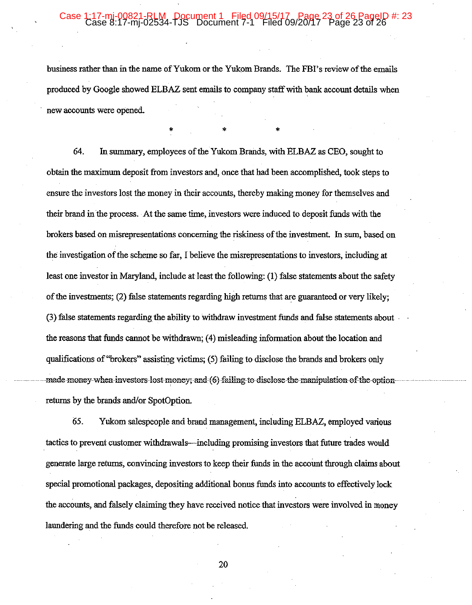### 17-mi-00821-RLM, Document 1 Filed 09/15/17<sub>9/</sub>Page 23 of 26 PageID #: 23<br>ase 8:17-mj-02534-TJS Document 7-1 Filed 09/20/17 Page 23 of 26

business rather than in the name of Yukom or the Yukom Brands. The FBI's review of the emails produced by Google showed ELBAZ sent emails to company staff with bank account details when new accounts were opened.

64. In summary, employees of the Yukom Brands, with ELBAZ as CEO, sought to obtain the maximum deposit from investors and, once that had been accomplished, took steps to ensure the investors lost the money in their accounts, thereby making money for themselves and their brand in the process. At the same time, investors were induced to deposit funds with the brokers based on misrepresentations concerning the riskiness of the investment. In sum, based on the investigation of the scheme so far, I believe the misrepresentations to investors, including at least one investor in Maryland, include at least the following: (1) false statements about the safety of the investments; (2) false statements regarding high returns that are guaranteed or very likely; (3) false statements regarding the ability to withdraw investment funds and false statements about the reasons that funds cannot be withdrawn; (4) misleading information about the location and qualifications of "brokers" assisting victims; (5) failing to disclose the brands and brokers only made money when investors lost money; and (6) failing to disclose the manipulation of the option returns by the brands and/or SpotOption.

65. Yukom salespeople and brand management, including ELBAZ, employed various tactics to prevent customer withdrawals—including promising investors that future trades would generate large returns, convincing investors to keep their funds in the account through claims about special promotional packages, depositing additional bonus funds into accounts to effectively lock the accounts, and falsely claiming they have received notice that investors were involved in money laundering and the funds could therefore not be released.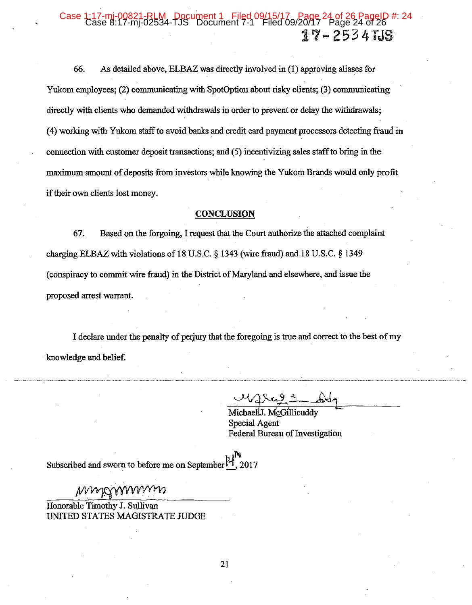### 00821-RLM, Document 1 Filed 09/15/17, Page 24 of 26 PageID #: 24<br>17-mj-02534-TJS Document 7-1 Filed 09/20/17 Page 24 of 26 Case 17-2534TJS

66. As detailed above, ELBAZ was directly involved in (1) approving aliases for Yukom employees; (2) communicating with SpotOption about risky clients; (3) communicating directly with clients who demanded withdrawals in order to prevent or delay the withdrawals; (4) working with Yukom staff to avoid banks and credit card payment processors detecting fraud in connection with customer deposit transactions; and (5) incentivizing sales staff to bring in the maximum amount of deposits from investors while knowing the Yukom Brands would only profit if their own clients lost money.

#### **CONCLUSION**

67. Based on the forgoing, I request that the Court authorize the attached complaint charging ELBAZ with violations of 18 U.S.C.  $\S$  1343 (wire fraud) and 18 U.S.C.  $\S$  1349 (conspiracy to commit wire fraud) in the District of Maryland and elsewhere, and issue the proposed arrest warrant.

I declare under the penalty of perjury that the foregoing is true and correct to the best of my knowledge and belief.

Michael J. McGillicuddy

**Special Agent** Federal Bureau of Investigation

Subscribed and sworn to before me on September 4, 2017

mmgmmmm

Honorable Timothy J. Sullivan UNITED STATES MAGISTRATE JUDGE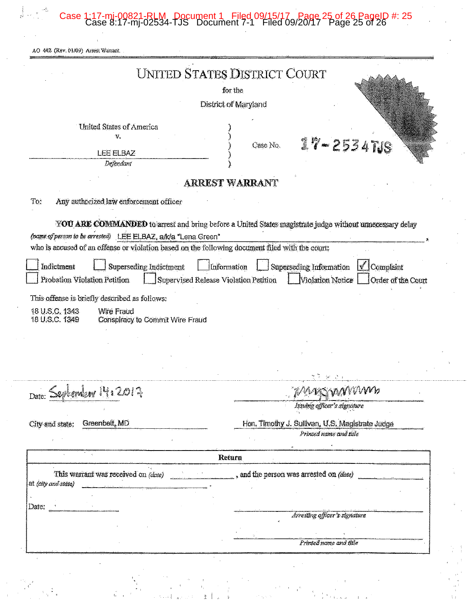Case 1:17-mj-00821-RLM Document 1 Filed 09/15/17 Page 25 of 26 PageID #: 25 Case 8:17-mj-02534-TJS Document 7-1 Filed 09/20/17 Page 25 of 26

 $\begin{array}{c} \left(\begin{array}{cc} 0 & 0 \\ 0 & 0 \end{array}\right) & \left(\begin{array}{cc} 0 & 0 \\ 0 & 0 \end{array}\right) \\ \left(\begin{array}{cc} 0 & 0 \\ 0 & 0 \end{array}\right) & \left(\begin{array}{cc} 0 & 0 \\ 0 & 0 \end{array}\right) & \left(\begin{array}{cc} 0 & 0 \\ 0 & 0 \end{array}\right) & \left(\begin{array}{cc} 0 & 0 \\ 0 & 0 \end{array}\right) & \left(\begin{array}{cc} 0 & 0 \\ 0 & 0 \end{array}\right) & \left(\begin{array}{cc} 0 & 0 \\ 0$ 

|                                                                                                                                                                  | UNITED STATES DISTRICT COURT                                                                            |
|------------------------------------------------------------------------------------------------------------------------------------------------------------------|---------------------------------------------------------------------------------------------------------|
|                                                                                                                                                                  | for the                                                                                                 |
|                                                                                                                                                                  | District of Maryland                                                                                    |
| <b>United States of America</b>                                                                                                                                  |                                                                                                         |
| V.                                                                                                                                                               | $17 - 2534708$<br>Case No.                                                                              |
| LEE ELBAZ                                                                                                                                                        |                                                                                                         |
| Defendant                                                                                                                                                        |                                                                                                         |
|                                                                                                                                                                  | <b>ARREST WARRANT</b>                                                                                   |
| Any authorized law enforcement officer<br>To:                                                                                                                    |                                                                                                         |
|                                                                                                                                                                  | YOU ARE COMMANDED to arrest and bring before a United States magistrate judge without unnecessary delay |
| (name of person to be arrested) LEE ELBAZ, a/k/a "Lena Green"                                                                                                    |                                                                                                         |
| who is accused of an offense or violation based on the following document filed with the court:                                                                  |                                                                                                         |
|                                                                                                                                                                  |                                                                                                         |
| Superseding Indictment<br>Indictment                                                                                                                             | Information<br>Superseding Information<br>Complaint                                                     |
| Probation Violation Petition                                                                                                                                     | Violation Notice<br>Supervised Release Violation Petition<br>Order of the Court                         |
|                                                                                                                                                                  |                                                                                                         |
|                                                                                                                                                                  |                                                                                                         |
| <b>Wire Fraud</b>                                                                                                                                                |                                                                                                         |
| Conspiracy to Commit Wire Fraud                                                                                                                                  |                                                                                                         |
|                                                                                                                                                                  |                                                                                                         |
|                                                                                                                                                                  |                                                                                                         |
|                                                                                                                                                                  |                                                                                                         |
|                                                                                                                                                                  |                                                                                                         |
|                                                                                                                                                                  |                                                                                                         |
|                                                                                                                                                                  | magymnna                                                                                                |
|                                                                                                                                                                  | Issuing officer's signature                                                                             |
| Greenbelt, MD                                                                                                                                                    | Hon. Timothy J. Sullivan, U.S. Magistrate Judge                                                         |
|                                                                                                                                                                  | Printed name and title                                                                                  |
|                                                                                                                                                                  |                                                                                                         |
|                                                                                                                                                                  | Return                                                                                                  |
| This warrant was received on <i>(date)</i>                                                                                                                       | and the person was arrested on (date)                                                                   |
|                                                                                                                                                                  |                                                                                                         |
|                                                                                                                                                                  |                                                                                                         |
|                                                                                                                                                                  | Arresting officer's signature                                                                           |
|                                                                                                                                                                  |                                                                                                         |
|                                                                                                                                                                  | Printed name and title                                                                                  |
| This offense is briefly described as follows:<br>18 U.S.C. 1343<br>18 U.S.C. 1349<br>Date: September 14, 2017<br>City and state:<br>at (city and state)<br>Date: |                                                                                                         |